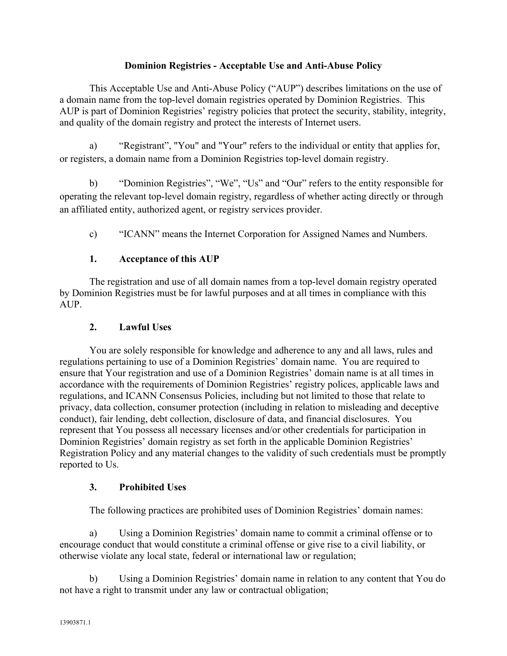#### **Dominion Registries - Acceptable Use and Anti-Abuse Policy**

This Acceptable Use and Anti-Abuse Policy ("AUP") describes limitations on the use of a domain name from the top-level domain registries operated by Dominion Registries. This AUP is part of Dominion Registries' registry policies that protect the security, stability, integrity, and quality of the domain registry and protect the interests of Internet users.

a) "Registrant", "You" and "Your" refers to the individual or entity that applies for, or registers, a domain name from a Dominion Registries top-level domain registry.

b) "Dominion Registries", "We", "Us" and "Our" refers to the entity responsible for operating the relevant top-level domain registry, regardless of whether acting directly or through an affiliated entity, authorized agent, or registry services provider.

c) "ICANN" means the Internet Corporation for Assigned Names and Numbers.

#### **1. Acceptance of this AUP**

The registration and use of all domain names from a top-level domain registry operated by Dominion Registries must be for lawful purposes and at all times in compliance with this AUP.

#### **2. Lawful Uses**

You are solely responsible for knowledge and adherence to any and all laws, rules and regulations pertaining to use of a Dominion Registries' domain name. You are required to ensure that Your registration and use of a Dominion Registries' domain name is at all times in accordance with the requirements of Dominion Registries' registry polices, applicable laws and regulations, and ICANN Consensus Policies, including but not limited to those that relate to privacy, data collection, consumer protection (including in relation to misleading and deceptive conduct), fair lending, debt collection, disclosure of data, and financial disclosures. You represent that You possess all necessary licenses and/or other credentials for participation in Dominion Registries' domain registry as set forth in the applicable Dominion Registries' Registration Policy and any material changes to the validity of such credentials must be promptly reported to Us.

#### **3. Prohibited Uses**

The following practices are prohibited uses of Dominion Registries' domain names:

a) Using a Dominion Registries' domain name to commit a criminal offense or to encourage conduct that would constitute a criminal offense or give rise to a civil liability, or otherwise violate any local state, federal or international law or regulation;

b) Using a Dominion Registries' domain name in relation to any content that You do not have a right to transmit under any law or contractual obligation;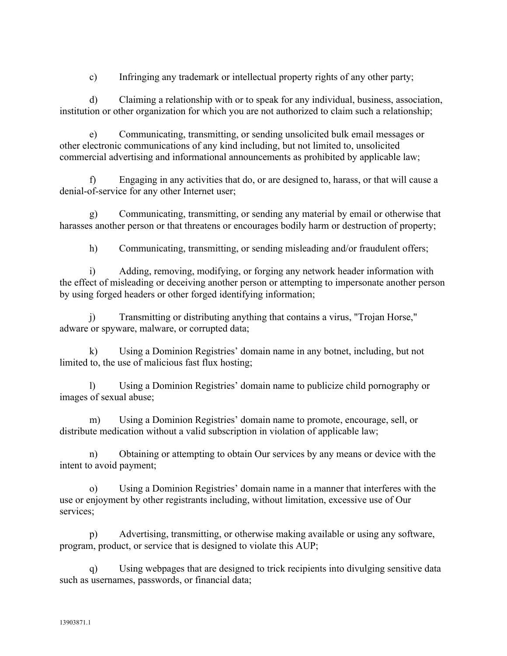c) Infringing any trademark or intellectual property rights of any other party;

d) Claiming a relationship with or to speak for any individual, business, association, institution or other organization for which you are not authorized to claim such a relationship;

e) Communicating, transmitting, or sending unsolicited bulk email messages or other electronic communications of any kind including, but not limited to, unsolicited commercial advertising and informational announcements as prohibited by applicable law;

f) Engaging in any activities that do, or are designed to, harass, or that will cause a denial-of-service for any other Internet user;

g) Communicating, transmitting, or sending any material by email or otherwise that harasses another person or that threatens or encourages bodily harm or destruction of property;

h) Communicating, transmitting, or sending misleading and/or fraudulent offers;

i) Adding, removing, modifying, or forging any network header information with the effect of misleading or deceiving another person or attempting to impersonate another person by using forged headers or other forged identifying information;

j) Transmitting or distributing anything that contains a virus, "Trojan Horse," adware or spyware, malware, or corrupted data;

k) Using a Dominion Registries' domain name in any botnet, including, but not limited to, the use of malicious fast flux hosting;

l) Using a Dominion Registries' domain name to publicize child pornography or images of sexual abuse;

m) Using a Dominion Registries' domain name to promote, encourage, sell, or distribute medication without a valid subscription in violation of applicable law;

n) Obtaining or attempting to obtain Our services by any means or device with the intent to avoid payment;

o) Using a Dominion Registries' domain name in a manner that interferes with the use or enjoyment by other registrants including, without limitation, excessive use of Our services;

p) Advertising, transmitting, or otherwise making available or using any software, program, product, or service that is designed to violate this AUP;

q) Using webpages that are designed to trick recipients into divulging sensitive data such as usernames, passwords, or financial data;